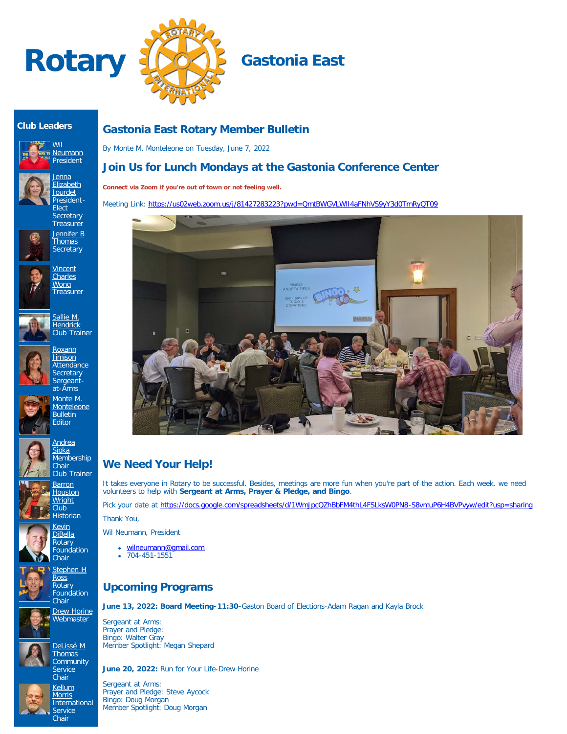



## **Club Leaders**





**Secretary Treasurer** [Jennifer B](https://www.ismyrotaryclub.org/EMailer.cfm?ID=800611473) **[Thomas](https://www.ismyrotaryclub.org/EMailer.cfm?ID=800611473) Secretary** 







Sergeantat-Arms [Monte M.](https://www.ismyrotaryclub.org/EMailer.cfm?ID=76803994) **[Monteleone](https://www.ismyrotaryclub.org/EMailer.cfm?ID=76803994)** Bulletin

**Editor** 



**[Barron](https://www.ismyrotaryclub.org/EMailer.cfm?ID=76804055) [Houston](https://www.ismyrotaryclub.org/EMailer.cfm?ID=76804055) [Wright](https://www.ismyrotaryclub.org/EMailer.cfm?ID=76804055)** Club Historian

> [Kevin](https://www.ismyrotaryclub.org/EMailer.cfm?ID=76803943) [DiBella](https://www.ismyrotaryclub.org/EMailer.cfm?ID=76803943) Rotary Foundation





**Chair [Drew Horine](https://www.ismyrotaryclub.org/EMailer.cfm?ID=800801377) Webmaster** 

> [DeLissé M](https://www.ismyrotaryclub.org/EMailer.cfm?ID=800899434) **[Thomas](https://www.ismyrotaryclub.org/EMailer.cfm?ID=800899434) Community**



**Service** Chair **[Kellum](https://www.ismyrotaryclub.org/EMailer.cfm?ID=76803997)** 



## **Gastonia East Rotary Member Bulletin**

By Monte M. Monteleone on Tuesday, June 7, 2022

## **Join Us for Lunch Mondays at the Gastonia Conference Center**

**Connect via Zoom if you're out of town or not feeling well.**

Meeting Link:<https://us02web.zoom.us/j/81427283223?pwd=QmtBWGVLWlI4aFNhVS9yY3d0TmRyQT09>



# **We Need Your Help!**

It takes everyone in Rotary to be successful. Besides, meetings are more fun when you're part of the action. Each week, we need volunteers to help with **Sergeant at Arms, Prayer & Pledge, and Bingo**.

Pick your date at <https://docs.google.com/spreadsheets/d/1WmJpcQZhBbFM4thL4FSLksW0PN8-S8vmuP6H4BVPvyw/edit?usp=sharing> Thank You,

Wil Neumann, President

- [wilneumann@gmail.com](mailto:wilneumann@gmail.com)
- $\bullet$  704-451-1551

## **Upcoming Programs**

**June 13, 2022: Board Meeting-11:30-**Gaston Board of Elections-Adam Ragan and Kayla Brock

Sergeant at Arms: Prayer and Pledge: Bingo: Walter Gray Member Spotlight: Megan Shepard

**June 20, 2022:** Run for Your Life-Drew Horine

Sergeant at Arms: Prayer and Pledge: Steve Aycock Bingo: Doug Morgan Member Spotlight: Doug Morgan